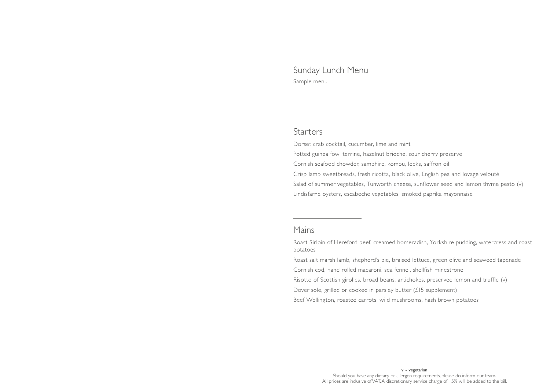# Sunday Lunch Menu Sample menu

### **Starters**

Dorset crab cocktail, cucumber, lime and mint Potted guinea fowl terrine, hazelnut brioche, sour cherry preserve Cornish seafood chowder, samphire, kombu, leeks, saffron oil Crisp lamb sweetbreads, fresh ricotta, black olive, English pea and lovage velouté Salad of summer vegetables, Tunworth cheese, sunflower seed and lemon thyme pesto (v) Lindisfarne oysters, escabeche vegetables, smoked paprika mayonnaise

#### Mains

Roast Sirloin of Hereford beef, creamed horseradish, Yorkshire pudding, watercress and roast potatoes Roast salt marsh lamb, shepherd's pie, braised lettuce, green olive and seaweed tapenade

Cornish cod, hand rolled macaroni, sea fennel, shellfish minestrone Risotto of Scottish girolles, broad beans, artichokes, preserved lemon and truffle (v) Dover sole, grilled or cooked in parsley butter (£15 supplement) Beef Wellington, roasted carrots, wild mushrooms, hash brown potatoes